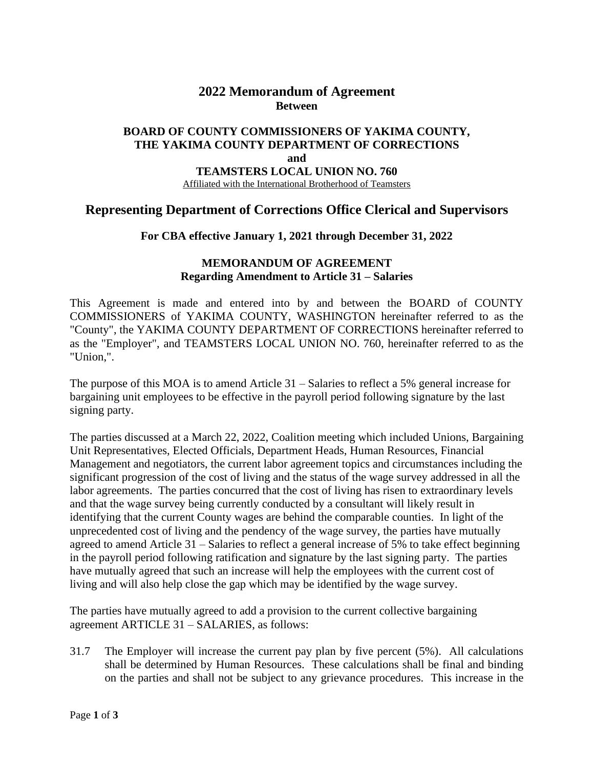## **2022 Memorandum of Agreement Between**

#### **BOARD OF COUNTY COMMISSIONERS OF YAKIMA COUNTY, THE YAKIMA COUNTY DEPARTMENT OF CORRECTIONS and TEAMSTERS LOCAL UNION NO. 760**

Affiliated with the International Brotherhood of Teamsters

## **Representing Department of Corrections Office Clerical and Supervisors**

#### **For CBA effective January 1, 2021 through December 31, 2022**

### **MEMORANDUM OF AGREEMENT Regarding Amendment to Article 31 – Salaries**

This Agreement is made and entered into by and between the BOARD of COUNTY COMMISSIONERS of YAKIMA COUNTY, WASHINGTON hereinafter referred to as the "County", the YAKIMA COUNTY DEPARTMENT OF CORRECTIONS hereinafter referred to as the "Employer", and TEAMSTERS LOCAL UNION NO. 760, hereinafter referred to as the "Union,".

The purpose of this MOA is to amend Article 31 – Salaries to reflect a 5% general increase for bargaining unit employees to be effective in the payroll period following signature by the last signing party.

The parties discussed at a March 22, 2022, Coalition meeting which included Unions, Bargaining Unit Representatives, Elected Officials, Department Heads, Human Resources, Financial Management and negotiators, the current labor agreement topics and circumstances including the significant progression of the cost of living and the status of the wage survey addressed in all the labor agreements. The parties concurred that the cost of living has risen to extraordinary levels and that the wage survey being currently conducted by a consultant will likely result in identifying that the current County wages are behind the comparable counties. In light of the unprecedented cost of living and the pendency of the wage survey, the parties have mutually agreed to amend Article 31 – Salaries to reflect a general increase of 5% to take effect beginning in the payroll period following ratification and signature by the last signing party. The parties have mutually agreed that such an increase will help the employees with the current cost of living and will also help close the gap which may be identified by the wage survey.

The parties have mutually agreed to add a provision to the current collective bargaining agreement ARTICLE 31 – SALARIES, as follows:

31.7 The Employer will increase the current pay plan by five percent (5%). All calculations shall be determined by Human Resources. These calculations shall be final and binding on the parties and shall not be subject to any grievance procedures. This increase in the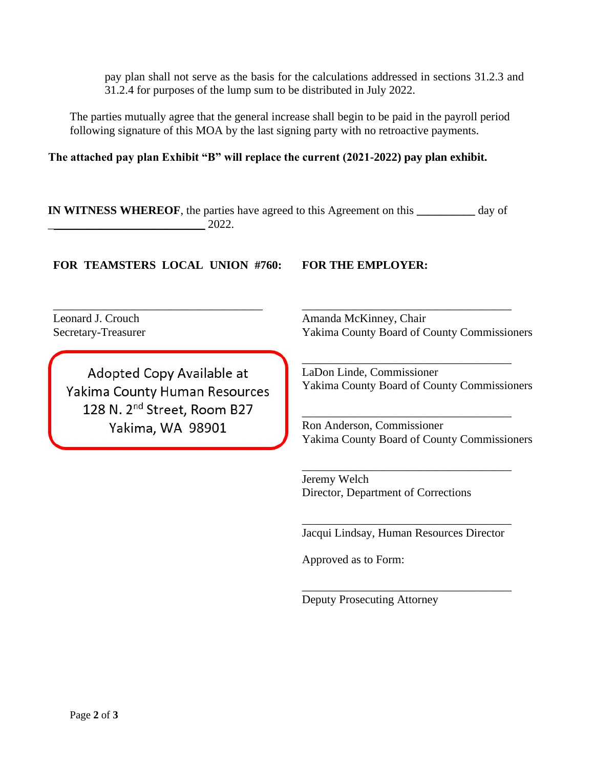pay plan shall not serve as the basis for the calculations addressed in sections 31.2.3 and 31.2.4 for purposes of the lump sum to be distributed in July 2022.

The parties mutually agree that the general increase shall begin to be paid in the payroll period following signature of this MOA by the last signing party with no retroactive payments.

**The attached pay plan Exhibit "B" will replace the current (2021-2022) pay plan exhibit.** 

**IN WITNESS WHEREOF**, the parties have agreed to this Agreement on this **\_\_\_\_\_\_\_\_\_\_** day of  $2022.$ 

**FOR TEAMSTERS LOCAL UNION #760: FOR THE EMPLOYER:**

\_\_\_\_\_\_\_\_\_\_\_\_\_\_\_\_\_\_\_\_\_\_\_\_\_\_\_\_\_\_\_\_\_\_\_\_

Leonard J. Crouch Secretary-Treasurer

> Adopted Copy Available at Yakima County Human Resources 128 N. 2<sup>nd</sup> Street, Room B27 Yakima, WA 98901

Amanda McKinney, Chair Yakima County Board of County Commissioners

\_\_\_\_\_\_\_\_\_\_\_\_\_\_\_\_\_\_\_\_\_\_\_\_\_\_\_\_\_\_\_\_\_\_\_\_

\_\_\_\_\_\_\_\_\_\_\_\_\_\_\_\_\_\_\_\_\_\_\_\_\_\_\_\_\_\_\_\_\_\_\_\_ LaDon Linde, Commissioner Yakima County Board of County Commissioners

Ron Anderson, Commissioner Yakima County Board of County Commissioners

\_\_\_\_\_\_\_\_\_\_\_\_\_\_\_\_\_\_\_\_\_\_\_\_\_\_\_\_\_\_\_\_\_\_\_\_

\_\_\_\_\_\_\_\_\_\_\_\_\_\_\_\_\_\_\_\_\_\_\_\_\_\_\_\_\_\_\_\_\_\_\_\_

Jeremy Welch Director, Department of Corrections

\_\_\_\_\_\_\_\_\_\_\_\_\_\_\_\_\_\_\_\_\_\_\_\_\_\_\_\_\_\_\_\_\_\_\_\_ Jacqui Lindsay, Human Resources Director

\_\_\_\_\_\_\_\_\_\_\_\_\_\_\_\_\_\_\_\_\_\_\_\_\_\_\_\_\_\_\_\_\_\_\_\_

Approved as to Form:

Deputy Prosecuting Attorney